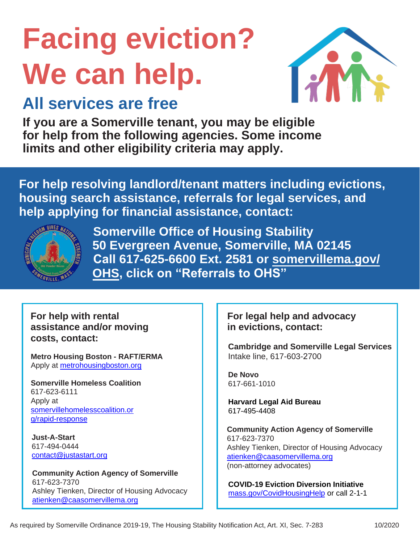# **Facing eviction? We can help.**



### **All services are free**

**If you are a Somerville tenant, you may be eligible for help from the following agencies. Some income limits and other eligibility criteria may apply.**

**For help resolving landlord/tenant matters including evictions, housing search assistance, referrals for legal services, and help applying for financial assistance, contact:**



**Somerville Office of Housing Stability 50 Evergreen Avenue, Somerville, MA 02145 Call 617-625-6600 Ext. 2581 or somervillema.gov/ [OHS, click on "Referral](https://www.somervillema.gov/departments/office-strategic-planning-and-community-development-ospcd/office-housing-stability)s to OHS"**

**For help with rental assistance and/or moving costs, contact:**

**Metro Housing Boston - RAFT/ERMA** Apply at [metrohousingboston.org](https://www.metrohousingboston.org/)

**Somerville Homeless Coalition** 617-623-6111 Apply at [somervillehomelesscoalition.or](https://somervillehomelesscoalition.org/rapid-response/) [g/rapid-response](https://somervillehomelesscoalition.org/rapid-response/)

**Just-A-Start** 617-494-0444 [contact@justastart.org](file:///C:/Users/llopez/OHS%20&%20Housing%20Teams%20Dropbox/All%20OHS%20Files/HSNA/HSNA%20Word%20Docs/contact@justastart.org)

**Community Action Agency of Somerville** 617-623-7370 Ashley Tienken, Director of Housing Advocacy [atienken@caasomervillema.org](file:///C:/Users/llopez/OHS%20&%20Housing%20Teams%20Dropbox/All%20OHS%20Files/HSNA/HSNA%20Word%20Docs/atienken@caasomervillema.org)

### **For legal help and advocacy in evictions, contact:**

**Cambridge and Somerville Legal Services** Intake line, 617-603-2700

**De Novo** 617-661-1010

**Harvard Legal Aid Bureau**  617-495-4408

**Community Action Agency of Somerville** 617-623-7370 Ashley Tienken, Director of Housing Advocacy [atienken@caasomervillema.org](mailto:atienken@caasomervillema.org) (non-attorney advocates)

**COVID-19 Eviction Diversion Initiative**  [mass.gov/CovidHousingHelp](http://mass.gov/CovidHousingHelp) or call 2-1-1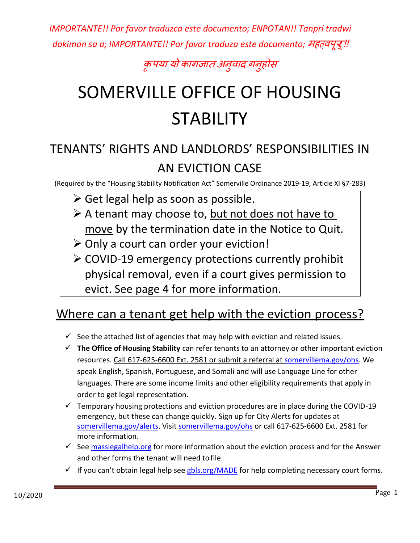*IMPORTANTE!! Por favor traduzca este documento; ENPOTAN!! Tanpri tradwi*  dokiman sa a; IMPORTANTE!! Por favor traduza este documento; महत्वपू**र्!!** 

### क ृ पया यो कागजात अन ुवाद गन ुहोस

## SOMERVILLE OFFICE OF HOUSING **STABILITY**

### TENANTS' RIGHTS AND LANDLORDS' RESPONSIBILITIES IN AN EVICTION CASE

(Required by the "Housing Stability Notification Act" Somerville Ordinance 2019-19, Article XI §7-283)

- ➢ Get legal help as soon as possible.
- $\triangleright$  A tenant may choose to, but not does not have to move by the termination date in the Notice to Quit.
- ➢ Only a court can order your eviction!
- ➢ COVID-19 emergency protections currently prohibit physical removal, even if a court gives permission to evict. See page 4 for more information.

### Where can a tenant get help with the eviction process?

- $\checkmark$  See the attached list of agencies that may help with eviction and related issues.
- ✓ **The Office of Housing Stability** can refer tenants to an attorney or other important eviction resources. Call 617-625-6600 Ext. 2581 or submit a referral at [somervillema.gov/ohs.](https://www.somervillema.gov/departments/office-strategic-planning-and-community-development-ospcd/office-housing-stability) We speak English, Spanish, Portuguese, and Somali and will use Language Line for other languages. There are some income limits and other eligibility requirements that apply in order to get legal representation.
- $\checkmark$  Temporary housing protections and eviction procedures are in place during the COVID-19 emergency, but these can change quickly. Sign up for City Alerts for updates at [somervillema.gov/alerts.](http://www.somervillema.gov/alerts) Visit [somervillema.gov/ohs](http://www.somervilema.gov/ohs) or call 617-625-6600 Ext. 2581 for more information.
- $\checkmark$  See [masslegalhelp.org](http://www.masslegalhelp.org/) for more information about the eviction process and for the Answer and other forms the tenant will need tofile.
- $\checkmark$  If you can't obtain legal help see [gbls.org/MADE](http://www.gbls.org/MADE) for help completing necessary court forms.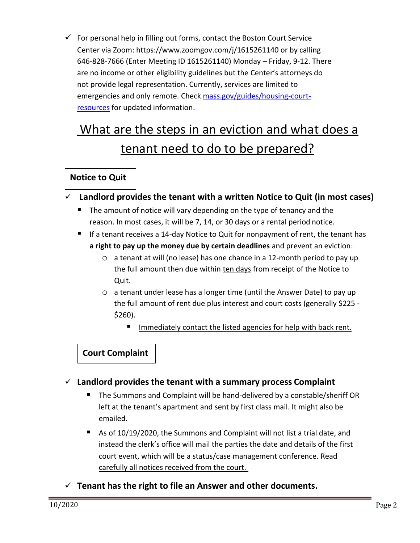$\checkmark$  For personal help in filling out forms, contact the Boston Court Service Center via Zoom: https://www.zoomgov.com/j/1615261140 or by calling 646-828-7666 (Enter Meeting ID 1615261140) Monday – Friday, 9-12. There are no income or other eligibility guidelines but the Center's attorneys do not provide legal representation. Currently, services are limited to emergencies and only remote. Check [mass.gov/guides/housing-court](https://www.mass.gov/guides/housing-court-resources)[resources](https://www.mass.gov/guides/housing-court-resources) for updated information.

### What are the steps in an eviction and what does a tenant need to do to be prepared?

### **Notice to Quit**

✓ **Landlord provides the tenant with a written Notice to Quit (in most cases)**

- The amount of notice will vary depending on the type of tenancy and the reason. In most cases, it will be 7, 14, or 30 days or a rental period notice.
- $\blacksquare$  If a tenant receives a 14-day Notice to Quit for nonpayment of rent, the tenant has **a right to pay up the money due by certain deadlines** and prevent an eviction:
	- $\circ$  a tenant at will (no lease) has one chance in a 12-month period to pay up the full amount then due within ten days from receipt of the Notice to Quit.
	- o a tenant under lease has a longer time (until the Answer Date) to pay up the full amount of rent due plus interest and court costs (generally \$225 - \$260).
		- Immediately contact the listed agencies for help with back rent.

### **Court Complaint**

- ✓ **Landlord provides the tenant with a summary process Complaint**
	- The Summons and Complaint will be hand-delivered by a constable/sheriff OR left at the tenant's apartment and sent by first class mail. It might also be emailed.
	- As of 10/19/2020, the Summons and Complaint will not list a trial date, and instead the clerk's office will mail the parties the date and details of the first court event, which will be a status/case management conference. Read carefully all notices received from the court.
- ✓ **Tenant has the right to file an Answer and other documents.**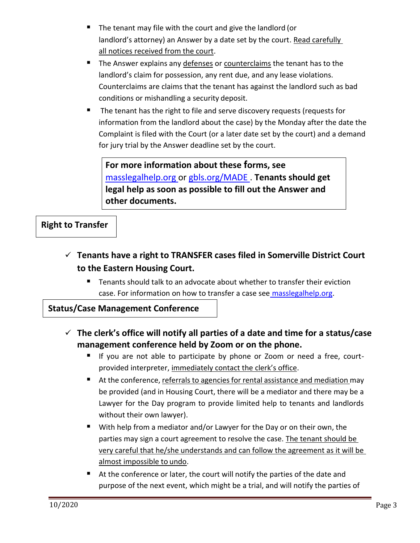- The tenant may file with the court and give the landlord (or landlord's attorney) an Answer by a date set by the court. Read carefully all notices received from the court.
- The Answer explains any defenses or counterclaims the tenant has to the landlord's claim for possession, any rent due, and any lease violations. Counterclaims are claims that the tenant has against the landlord such as bad conditions or mishandling a security deposit.
- The tenant has the right to file and serve discovery requests (requests for information from the landlord about the case) by the Monday after the date the Complaint is filed with the Court (or a later date set by the court) and a demand for jury trial by the Answer deadline set by the court.

**For more information about these forms, see**  masslegalhelp.org or [gbls.org/MADE](file:///C:/Users/llopez/OHS%20&%20Housing%20Teams%20Dropbox/All%20OHS%20Files/HSNA/HSNA%20Word%20Docs/www.gbls.org/MADE) . **Tenants should get legal help as soon as possible to fill out the Answer and other documents.**

**Right to Transfer**

- ✓ **Tenants have a right to TRANSFER cases filed in Somerville District Court to the Eastern Housing Court.**
	- Tenants should talk to an advocate about whether to transfer their eviction case. For information on how to transfer a case see [masslegalhelp.org.](http://www.masslegalhelp.org/)

**Status/Case Management Conference**

 $\mathbb{R}^2$  $\mathbb{R}^n$ 

- ✓ **The clerk's office will notify all parties of a date and time for a status/case management conference held by Zoom or on the phone.**
	- If you are not able to participate by phone or Zoom or need a free, courtprovided interpreter, immediately contact the clerk's office.
	- At the conference, referrals to agencies for rental assistance and mediation may be provided (and in Housing Court, there will be a mediator and there may be a Lawyer for the Day program to provide limited help to tenants and landlords without their own lawyer).
	- With help from a mediator and/or Lawyer for the Day or on their own, the parties may sign a court agreement to resolve the case. The tenant should be very careful that he/she understands and can follow the agreement as it will be almost impossible to undo.
	- At the conference or later, the court will notify the parties of the date and purpose of the next event, which might be a trial, and will notify the parties of